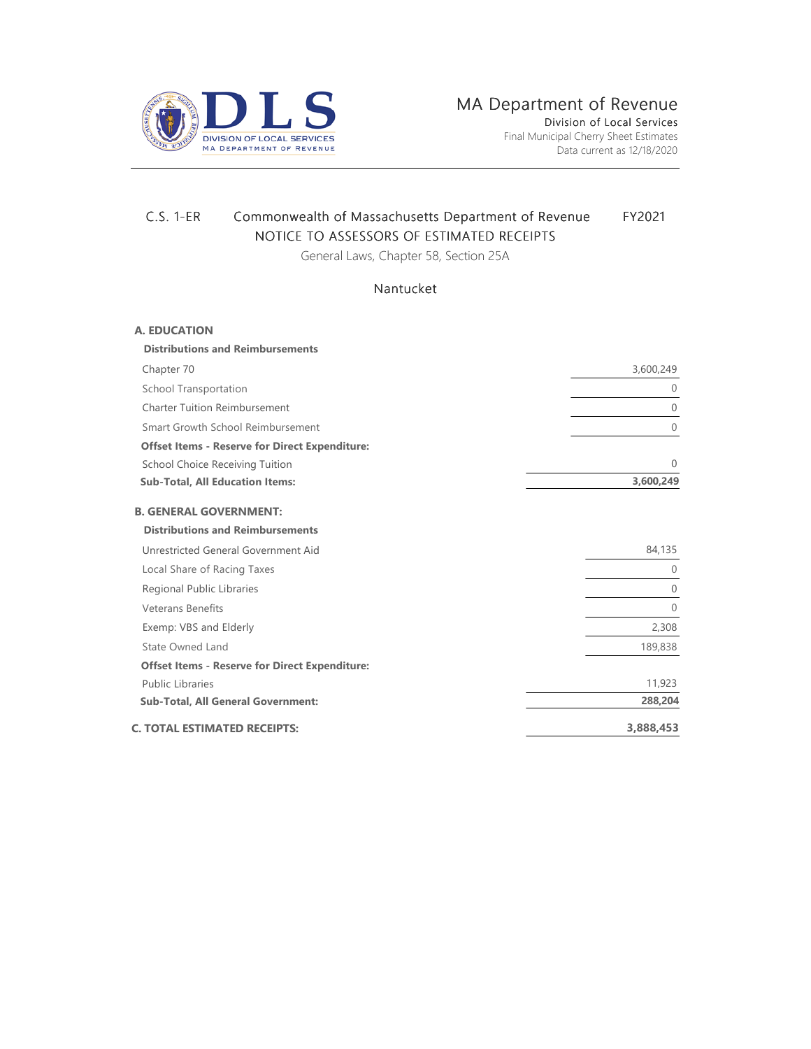

Data current as 12/18/2020

## C.S. 1-ER Commonwealth of Massachusetts Department of Revenue FY2021 NOTICE TO ASSESSORS OF ESTIMATED RECEIPTS

General Laws, Chapter 58, Section 25A

## Nantucket

| <b>A. EDUCATION</b>                                   |                |
|-------------------------------------------------------|----------------|
| <b>Distributions and Reimbursements</b>               |                |
| Chapter 70                                            | 3,600,249      |
| School Transportation                                 | $\mathbf{0}$   |
| <b>Charter Tuition Reimbursement</b>                  | $\overline{0}$ |
| Smart Growth School Reimbursement                     | $\overline{0}$ |
| <b>Offset Items - Reserve for Direct Expenditure:</b> |                |
| School Choice Receiving Tuition                       | $\theta$       |
| <b>Sub-Total, All Education Items:</b>                | 3,600,249      |
| <b>B. GENERAL GOVERNMENT:</b>                         |                |
| <b>Distributions and Reimbursements</b>               |                |
| Unrestricted General Government Aid                   | 84,135         |
| Local Share of Racing Taxes                           | $\mathbf{0}$   |
| Regional Public Libraries                             | $\overline{0}$ |
| <b>Veterans Benefits</b>                              | $\overline{0}$ |
| Exemp: VBS and Elderly                                | 2,308          |
| State Owned Land                                      | 189,838        |
| <b>Offset Items - Reserve for Direct Expenditure:</b> |                |
| <b>Public Libraries</b>                               | 11,923         |
| <b>Sub-Total, All General Government:</b>             | 288,204        |
| C. TOTAL ESTIMATED RECEIPTS:                          | 3,888,453      |